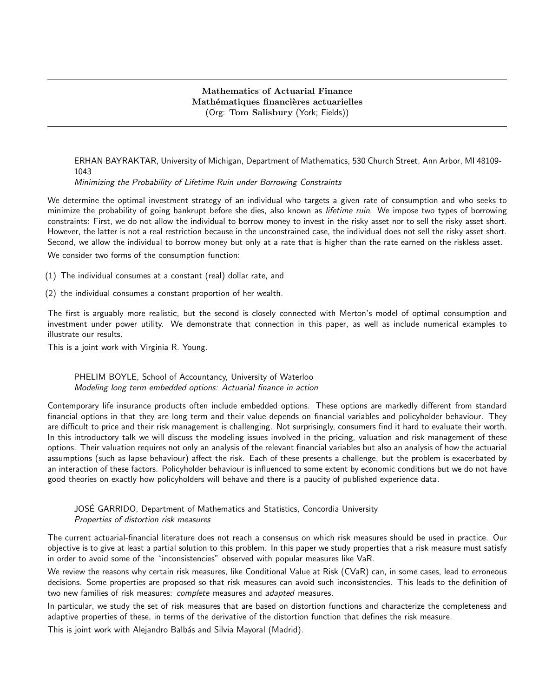# Mathematics of Actuarial Finance Mathématiques financières actuarielles (Org: Tom Salisbury (York; Fields))

ERHAN BAYRAKTAR, University of Michigan, Department of Mathematics, 530 Church Street, Ann Arbor, MI 48109- 1043

Minimizing the Probability of Lifetime Ruin under Borrowing Constraints

We determine the optimal investment strategy of an individual who targets a given rate of consumption and who seeks to minimize the probability of going bankrupt before she dies, also known as lifetime ruin. We impose two types of borrowing constraints: First, we do not allow the individual to borrow money to invest in the risky asset nor to sell the risky asset short. However, the latter is not a real restriction because in the unconstrained case, the individual does not sell the risky asset short. Second, we allow the individual to borrow money but only at a rate that is higher than the rate earned on the riskless asset.

We consider two forms of the consumption function:

- (1) The individual consumes at a constant (real) dollar rate, and
- (2) the individual consumes a constant proportion of her wealth.

The first is arguably more realistic, but the second is closely connected with Merton's model of optimal consumption and investment under power utility. We demonstrate that connection in this paper, as well as include numerical examples to illustrate our results.

This is a joint work with Virginia R. Young.

## PHELIM BOYLE, School of Accountancy, University of Waterloo Modeling long term embedded options: Actuarial finance in action

Contemporary life insurance products often include embedded options. These options are markedly different from standard financial options in that they are long term and their value depends on financial variables and policyholder behaviour. They are difficult to price and their risk management is challenging. Not surprisingly, consumers find it hard to evaluate their worth. In this introductory talk we will discuss the modeling issues involved in the pricing, valuation and risk management of these options. Their valuation requires not only an analysis of the relevant financial variables but also an analysis of how the actuarial assumptions (such as lapse behaviour) affect the risk. Each of these presents a challenge, but the problem is exacerbated by an interaction of these factors. Policyholder behaviour is influenced to some extent by economic conditions but we do not have good theories on exactly how policyholders will behave and there is a paucity of published experience data.

## JOSE GARRIDO, Department of Mathematics and Statistics, Concordia University ´ Properties of distortion risk measures

The current actuarial-financial literature does not reach a consensus on which risk measures should be used in practice. Our objective is to give at least a partial solution to this problem. In this paper we study properties that a risk measure must satisfy in order to avoid some of the "inconsistencies" observed with popular measures like VaR.

We review the reasons why certain risk measures, like Conditional Value at Risk (CVaR) can, in some cases, lead to erroneous decisions. Some properties are proposed so that risk measures can avoid such inconsistencies. This leads to the definition of two new families of risk measures: *complete* measures and *adapted* measures.

In particular, we study the set of risk measures that are based on distortion functions and characterize the completeness and adaptive properties of these, in terms of the derivative of the distortion function that defines the risk measure.

This is joint work with Alejandro Balbás and Silvia Mayoral (Madrid).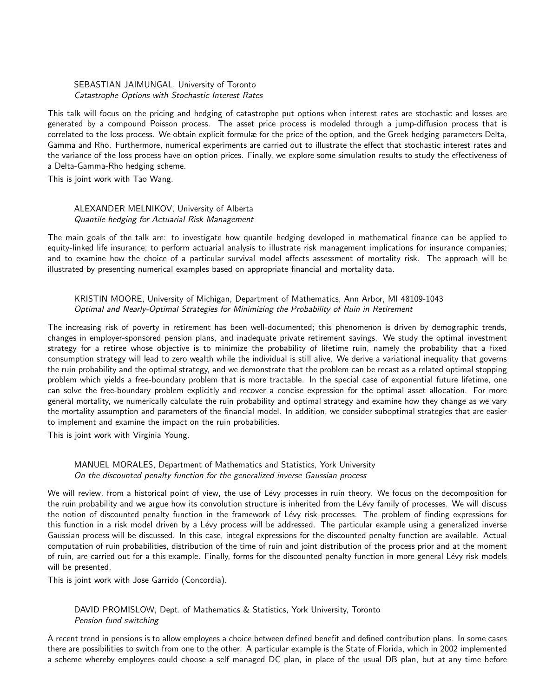### SEBASTIAN JAIMUNGAL, University of Toronto Catastrophe Options with Stochastic Interest Rates

This talk will focus on the pricing and hedging of catastrophe put options when interest rates are stochastic and losses are generated by a compound Poisson process. The asset price process is modeled through a jump-diffusion process that is correlated to the loss process. We obtain explicit formulæ for the price of the option, and the Greek hedging parameters Delta, Gamma and Rho. Furthermore, numerical experiments are carried out to illustrate the effect that stochastic interest rates and the variance of the loss process have on option prices. Finally, we explore some simulation results to study the effectiveness of a Delta-Gamma-Rho hedging scheme.

This is joint work with Tao Wang.

# ALEXANDER MELNIKOV, University of Alberta Quantile hedging for Actuarial Risk Management

The main goals of the talk are: to investigate how quantile hedging developed in mathematical finance can be applied to equity-linked life insurance; to perform actuarial analysis to illustrate risk management implications for insurance companies; and to examine how the choice of a particular survival model affects assessment of mortality risk. The approach will be illustrated by presenting numerical examples based on appropriate financial and mortality data.

# KRISTIN MOORE, University of Michigan, Department of Mathematics, Ann Arbor, MI 48109-1043 Optimal and Nearly-Optimal Strategies for Minimizing the Probability of Ruin in Retirement

The increasing risk of poverty in retirement has been well-documented; this phenomenon is driven by demographic trends, changes in employer-sponsored pension plans, and inadequate private retirement savings. We study the optimal investment strategy for a retiree whose objective is to minimize the probability of lifetime ruin, namely the probability that a fixed consumption strategy will lead to zero wealth while the individual is still alive. We derive a variational inequality that governs the ruin probability and the optimal strategy, and we demonstrate that the problem can be recast as a related optimal stopping problem which yields a free-boundary problem that is more tractable. In the special case of exponential future lifetime, one can solve the free-boundary problem explicitly and recover a concise expression for the optimal asset allocation. For more general mortality, we numerically calculate the ruin probability and optimal strategy and examine how they change as we vary the mortality assumption and parameters of the financial model. In addition, we consider suboptimal strategies that are easier to implement and examine the impact on the ruin probabilities.

This is joint work with Virginia Young.

# MANUEL MORALES, Department of Mathematics and Statistics, York University On the discounted penalty function for the generalized inverse Gaussian process

We will review, from a historical point of view, the use of Lévy processes in ruin theory. We focus on the decomposition for the ruin probability and we argue how its convolution structure is inherited from the Lévy family of processes. We will discuss the notion of discounted penalty function in the framework of Lévy risk processes. The problem of finding expressions for this function in a risk model driven by a Lévy process will be addressed. The particular example using a generalized inverse Gaussian process will be discussed. In this case, integral expressions for the discounted penalty function are available. Actual computation of ruin probabilities, distribution of the time of ruin and joint distribution of the process prior and at the moment of ruin, are carried out for a this example. Finally, forms for the discounted penalty function in more general Lévy risk models will be presented.

This is joint work with Jose Garrido (Concordia).

DAVID PROMISLOW, Dept. of Mathematics & Statistics, York University, Toronto Pension fund switching

A recent trend in pensions is to allow employees a choice between defined benefit and defined contribution plans. In some cases there are possibilities to switch from one to the other. A particular example is the State of Florida, which in 2002 implemented a scheme whereby employees could choose a self managed DC plan, in place of the usual DB plan, but at any time before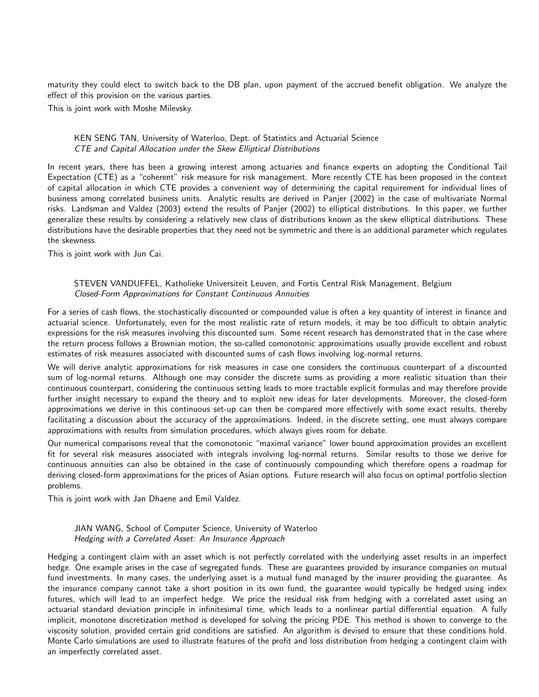maturity they could elect to switch back to the DB plan, upon payment of the accrued benefit obligation. We analyze the effect of this provision on the various parties.

This is joint work with Moshe Milevsky.

### KEN SENG TAN, University of Waterloo, Dept. of Statistics and Actuarial Science CTE and Capital Allocation under the Skew Elliptical Distributions

In recent years, there has been a growing interest among actuaries and finance experts on adopting the Conditional Tail Expectation (CTE) as a "coherent" risk measure for risk management. More recently CTE has been proposed in the context of capital allocation in which CTE provides a convenient way of determining the capital requirement for individual lines of business among correlated business units. Analytic results are derived in Panjer (2002) in the case of multivariate Normal risks. Landsman and Valdez (2003) extend the results of Panjer (2002) to elliptical distributions. In this paper, we further generalize these results by considering a relatively new class of distributions known as the skew elliptical distributions. These distributions have the desirable properties that they need not be symmetric and there is an additional parameter which regulates the skewness.

This is joint work with Jun Cai.

## STEVEN VANDUFFEL, Katholieke Universiteit Leuven, and Fortis Central Risk Management, Belgium Closed-Form Approximations for Constant Continuous Annuities

For a series of cash flows, the stochastically discounted or compounded value is often a key quantity of interest in finance and actuarial science. Unfortunately, even for the most realistic rate of return models, it may be too difficult to obtain analytic expressions for the risk measures involving this discounted sum. Some recent research has demonstrated that in the case where the return process follows a Brownian motion, the so-called comonotonic approximations usually provide excellent and robust estimates of risk measures associated with discounted sums of cash flows involving log-normal returns.

We will derive analytic approximations for risk measures in case one considers the continuous counterpart of a discounted sum of log-normal returns. Although one may consider the discrete sums as providing a more realistic situation than their continuous counterpart, considering the continuous setting leads to more tractable explicit formulas and may therefore provide further insight necessary to expand the theory and to exploit new ideas for later developments. Moreover, the closed-form approximations we derive in this continuous set-up can then be compared more effectively with some exact results, thereby facilitating a discussion about the accuracy of the approximations. Indeed, in the discrete setting, one must always compare approximations with results from simulation procedures, which always gives room for debate.

Our numerical comparisons reveal that the comonotonic "maximal variance" lower bound approximation provides an excellent fit for several risk measures associated with integrals involving log-normal returns. Similar results to those we derive for continuous annuities can also be obtained in the case of continuously compounding which therefore opens a roadmap for deriving closed-form approximations for the prices of Asian options. Future research will also focus on optimal portfolio slection problems.

This is joint work with Jan Dhaene and Emil Valdez.

JIAN WANG, School of Computer Science, University of Waterloo Hedging with a Correlated Asset: An Insurance Approach

Hedging a contingent claim with an asset which is not perfectly correlated with the underlying asset results in an imperfect hedge. One example arises in the case of segregated funds. These are guarantees provided by insurance companies on mutual fund investments. In many cases, the underlying asset is a mutual fund managed by the insurer providing the guarantee. As the insurance company cannot take a short position in its own fund, the guarantee would typically be hedged using index futures, which will lead to an imperfect hedge. We price the residual risk from hedging with a correlated asset using an actuarial standard deviation principle in infinitesimal time, which leads to a nonlinear partial differential equation. A fully implicit, monotone discretization method is developed for solving the pricing PDE. This method is shown to converge to the viscosity solution, provided certain grid conditions are satisfied. An algorithm is devised to ensure that these conditions hold. Monte Carlo simulations are used to illustrate features of the profit and loss distribution from hedging a contingent claim with an imperfectly correlated asset.